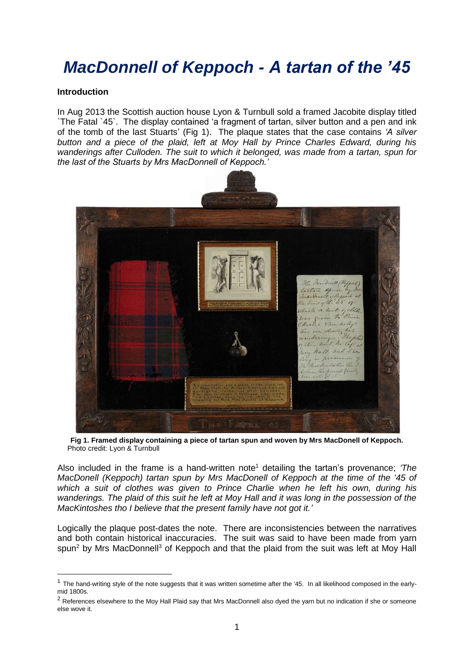# *MacDonnell of Keppoch - A tartan of the '45*

#### **Introduction**

-

In Aug 2013 the Scottish auction house Lyon & Turnbull sold a framed Jacobite display titled `The Fatal `45`. The display contained 'a fragment of tartan, silver button and a pen and ink of the tomb of the last Stuarts' (Fig 1). The plaque states that the case contains *'A silver button and a piece of the plaid, left at Moy Hall by Prince Charles Edward, during his wanderings after Culloden. The suit to which it belonged, was made from a tartan, spun for the last of the Stuarts by Mrs MacDonnell of Keppoch.'* 



**Fig 1. Framed display containing a piece of tartan spun and woven by Mrs MacDonell of Keppoch.** Photo credit: Lyon & Turnbull

Also included in the frame is a hand-written note<sup>1</sup> detailing the tartan's provenance; *'The MacDonell (Keppoch) tartan spun by Mrs MacDonell of Keppoch at the time of the '45 of which a suit of clothes was given to Prince Charlie when he left his own, during his wanderings. The plaid of this suit he left at Moy Hall and it was long in the possession of the MacKintoshes tho I believe that the present family have not got it.'*

Logically the plaque post-dates the note. There are inconsistencies between the narratives and both contain historical inaccuracies. The suit was said to have been made from yarn spun<sup>2</sup> by Mrs MacDonnell<sup>3</sup> of Keppoch and that the plaid from the suit was left at Moy Hall

 $1$  The hand-writing style of the note suggests that it was written sometime after the '45. In all likelihood composed in the earlymid 1800s.

 $2$  References elsewhere to the Moy Hall Plaid say that Mrs MacDonnell also dyed the yarn but no indication if she or someone else wove it.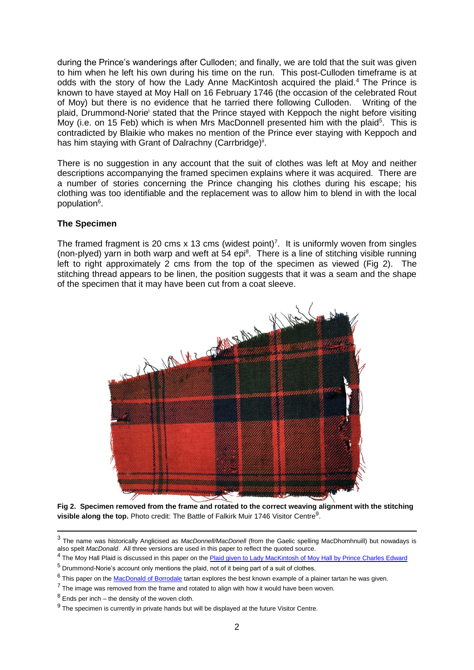during the Prince's wanderings after Culloden; and finally, we are told that the suit was given to him when he left his own during his time on the run. This post-Culloden timeframe is at odds with the story of how the Lady Anne MacKintosh acquired the plaid.<sup>4</sup> The Prince is known to have stayed at Moy Hall on 16 February 1746 (the occasion of the celebrated Rout of Moy) but there is no evidence that he tarried there following Culloden. Writing of the plaid, Drummond-Norie<sup>i</sup> stated that the Prince stayed with Keppoch the night before visiting Moy (i.e. on 15 Feb) which is when Mrs MacDonnell presented him with the plaid<sup>5</sup>. This is contradicted by Blaikie who makes no mention of the Prince ever staying with Keppoch and has him staying with Grant of Dalrachny (Carrbridge)<sup>ii</sup>.

There is no suggestion in any account that the suit of clothes was left at Moy and neither descriptions accompanying the framed specimen explains where it was acquired. There are a number of stories concerning the Prince changing his clothes during his escape; his clothing was too identifiable and the replacement was to allow him to blend in with the local population<sup>6</sup>.

#### **The Specimen**

The framed fragment is 20 cms x 13 cms (widest point)<sup>7</sup>. It is uniformly woven from singles (non-plyed) yarn in both warp and weft at 54 epi<sup>8</sup>. There is a line of stitching visible running left to right approximately 2 cms from the top of the specimen as viewed (Fig 2). The stitching thread appears to be linen, the position suggests that it was a seam and the shape of the specimen that it may have been cut from a coat sleeve.



**Fig 2. Specimen removed from the frame and rotated to the correct weaving alignment with the stitching**  visible along the top. Photo credit: The Battle of Falkirk Muir 1746 Visitor Centre<sup>9</sup>.

-

<sup>3</sup> The name was historically Anglicised as *MacDonnell/MacDonell* (from the Gaelic spelling MacDhomhnuill) but nowadays is also spelt *MacDonald*. All three versions are used in this paper to reflect the quoted source.

<sup>&</sup>lt;sup>4</sup> The Moy Hall Plaid is discussed in this paper on the **Plaid given to Lady MacKintosh of Moy Hall by Prince Charles Edward** 

<sup>5</sup> Drummond-Norie's account only mentions the plaid, not of it being part of a suit of clothes.

<sup>&</sup>lt;sup>6</sup> This paper on th[e MacDonald of Borrodale](http://www.scottishtartans.co.uk/MacDonald_of_Borrodale.pdf) tartan explores the best known example of a plainer tartan he was given.

 $<sup>7</sup>$  The image was removed from the frame and rotated to align with how it would have been woven.</sup>

 $8$  Ends per inch – the density of the woven cloth.

 $9$  The specimen is currently in private hands but will be displayed at the future Visitor Centre.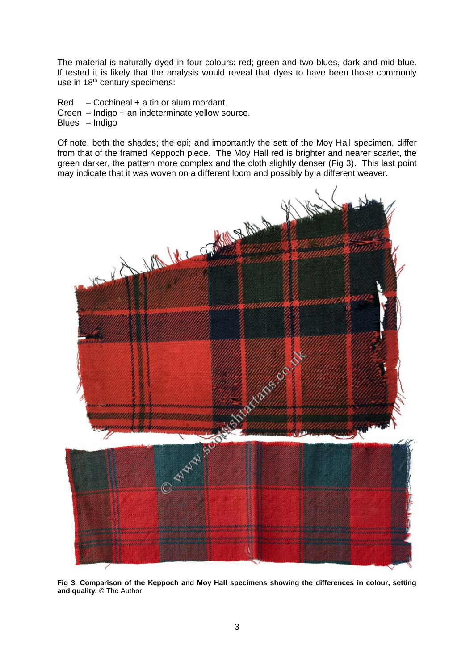The material is naturally dyed in four colours: red; green and two blues, dark and mid-blue. If tested it is likely that the analysis would reveal that dyes to have been those commonly use in 18<sup>th</sup> century specimens:

Red – Cochineal + a tin or alum mordant. Green – Indigo + an indeterminate yellow source. Blues – Indigo

Of note, both the shades; the epi; and importantly the sett of the Moy Hall specimen, differ from that of the framed Keppoch piece. The Moy Hall red is brighter and nearer scarlet, the green darker, the pattern more complex and the cloth slightly denser (Fig 3). This last point may indicate that it was woven on a different loom and possibly by a different weaver.



**Fig 3. Comparison of the Keppoch and Moy Hall specimens showing the differences in colour, setting and quality.** © The Author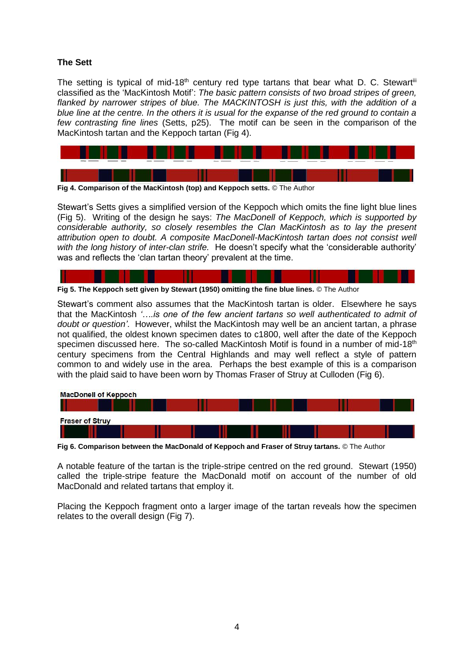## **The Sett**

The setting is typical of mid-18<sup>th</sup> century red type tartans that bear what D. C. Stewart<sup>iii</sup> classified as the 'MacKintosh Motif': *The basic pattern consists of two broad stripes of green, flanked by narrower stripes of blue. The MACKINTOSH is just this, with the addition of a blue line at the centre. In the others it is usual for the expanse of the red ground to contain a few contrasting fine lines* (Setts, p25). The motif can be seen in the comparison of the MacKintosh tartan and the Keppoch tartan (Fig 4).



**Fig 4. Comparison of the MacKintosh (top) and Keppoch setts.** © The Author

Stewart's Setts gives a simplified version of the Keppoch which omits the fine light blue lines (Fig 5). Writing of the design he says: *The MacDonell of Keppoch, which is supported by considerable authority, so closely resembles the Clan MacKintosh as to lay the present attribution open to doubt. A composite MacDonell-MacKintosh tartan does not consist well with the long history of inter-clan strife.* He doesn't specify what the 'considerable authority' was and reflects the 'clan tartan theory' prevalent at the time.

|  |  | Fig 5. The Keppoch sett given by Stewart (1950) omitting the fine blue lines. © The Author |
|--|--|--------------------------------------------------------------------------------------------|

Stewart's comment also assumes that the MacKintosh tartan is older. Elsewhere he says that the MacKintosh *'….is one of the few ancient tartans so well authenticated to admit of doubt or question'*. However, whilst the MacKintosh may well be an ancient tartan, a phrase not qualified, the oldest known specimen dates to c1800, well after the date of the Keppoch specimen discussed here. The so-called MacKintosh Motif is found in a number of mid-18<sup>th</sup> century specimens from the Central Highlands and may well reflect a style of pattern common to and widely use in the area. Perhaps the best example of this is a comparison with the plaid said to have been worn by Thomas Fraser of Struy at Culloden (Fig 6).

| <b>MacDonell of Keppoch</b> |  |  |  |
|-----------------------------|--|--|--|
|                             |  |  |  |
| <b>Fraser of Struy</b>      |  |  |  |
|                             |  |  |  |
|                             |  |  |  |

**Fig 6. Comparison between the MacDonald of Keppoch and Fraser of Struy tartans.** © The Author

A notable feature of the tartan is the triple-stripe centred on the red ground. Stewart (1950) called the triple-stripe feature the MacDonald motif on account of the number of old MacDonald and related tartans that employ it.

Placing the Keppoch fragment onto a larger image of the tartan reveals how the specimen relates to the overall design (Fig 7).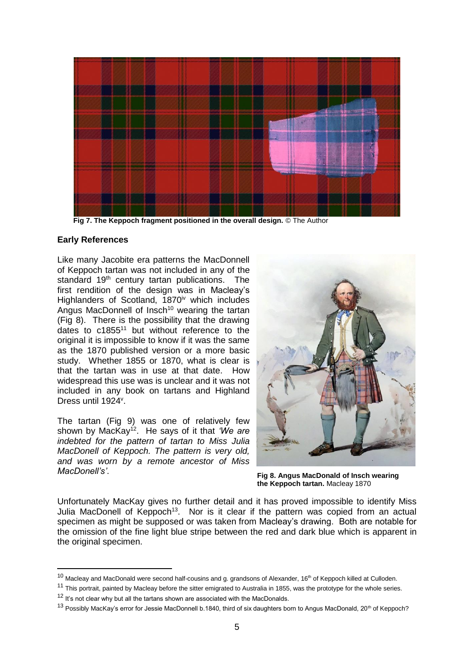

**Early References**

-

Like many Jacobite era patterns the MacDonnell of Keppoch tartan was not included in any of the standard 19<sup>th</sup> century tartan publications. The first rendition of the design was in Macleay's Highlanders of Scotland, 1870<sup>iv</sup> which includes Angus MacDonnell of Insch<sup>10</sup> wearing the tartan (Fig 8). There is the possibility that the drawing dates to c1855<sup>11</sup> but without reference to the original it is impossible to know if it was the same as the 1870 published version or a more basic study. Whether 1855 or 1870, what is clear is that the tartan was in use at that date. How widespread this use was is unclear and it was not included in any book on tartans and Highland Dress until 1924<sup>v</sup>.

The tartan (Fig 9) was one of relatively few shown by MacKay<sup>12</sup>. He says of it that *'We are indebted for the pattern of tartan to Miss Julia MacDonell of Keppoch. The pattern is very old, and was worn by a remote ancestor of Miss MacDonell's'*.



**Fig 8. Angus MacDonald of Insch wearing the Keppoch tartan.** Macleay 1870

Unfortunately MacKay gives no further detail and it has proved impossible to identify Miss Julia MacDonell of Keppoch<sup>13</sup>. Nor is it clear if the pattern was copied from an actual specimen as might be supposed or was taken from Macleay's drawing. Both are notable for the omission of the fine light blue stripe between the red and dark blue which is apparent in the original specimen.

 $10$  Macleay and MacDonald were second half-cousins and g. grandsons of Alexander, 16<sup>th</sup> of Keppoch killed at Culloden.

<sup>&</sup>lt;sup>11</sup> This portrait, painted by Macleay before the sitter emigrated to Australia in 1855, was the prototype for the whole series.

 $12$  It's not clear why but all the tartans shown are associated with the MacDonalds.

<sup>&</sup>lt;sup>13</sup> Possibly MacKay's error for Jessie MacDonnell b.1840, third of six daughters born to Angus MacDonald, 20<sup>th</sup> of Keppoch?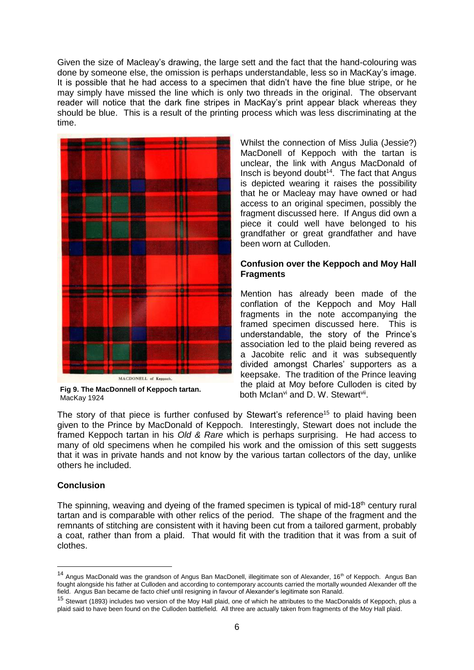Given the size of Macleay's drawing, the large sett and the fact that the hand-colouring was done by someone else, the omission is perhaps understandable, less so in MacKay's image. It is possible that he had access to a specimen that didn't have the fine blue stripe, or he may simply have missed the line which is only two threads in the original. The observant reader will notice that the dark fine stripes in MacKay's print appear black whereas they should be blue. This is a result of the printing process which was less discriminating at the time.



**Fig 9. The MacDonnell of Keppoch tartan.** MacKay 1924

Whilst the connection of Miss Julia (Jessie?) MacDonell of Keppoch with the tartan is unclear, the link with Angus MacDonald of Insch is beyond doubt $14$ . The fact that Angus is depicted wearing it raises the possibility that he or Macleay may have owned or had access to an original specimen, possibly the fragment discussed here. If Angus did own a piece it could well have belonged to his grandfather or great grandfather and have been worn at Culloden.

### **Confusion over the Keppoch and Moy Hall Fragments**

Mention has already been made of the conflation of the Keppoch and Moy Hall fragments in the note accompanying the framed specimen discussed here. This is understandable, the story of the Prince's association led to the plaid being revered as a Jacobite relic and it was subsequently divided amongst Charles' supporters as a keepsake. The tradition of the Prince leaving the plaid at Moy before Culloden is cited by both Mclan<sup>vi</sup> and D. W. Stewart<sup>vii</sup>.

The story of that piece is further confused by Stewart's reference<sup>15</sup> to plaid having been given to the Prince by MacDonald of Keppoch. Interestingly, Stewart does not include the framed Keppoch tartan in his *Old & Rare* which is perhaps surprising. He had access to many of old specimens when he compiled his work and the omission of this sett suggests that it was in private hands and not know by the various tartan collectors of the day, unlike others he included.

## **Conclusion**

-

The spinning, weaving and dyeing of the framed specimen is typical of mid-18<sup>th</sup> century rural tartan and is comparable with other relics of the period. The shape of the fragment and the remnants of stitching are consistent with it having been cut from a tailored garment, probably a coat, rather than from a plaid. That would fit with the tradition that it was from a suit of clothes.

<sup>&</sup>lt;sup>14</sup> Angus MacDonald was the grandson of Angus Ban MacDonell, illegitimate son of Alexander, 16<sup>th</sup> of Keppoch. Angus Ban fought alongside his father at Culloden and according to contemporary accounts carried the mortally wounded Alexander off the field. Angus Ban became de facto chief until resigning in favour of Alexander's legitimate son Ranald.

<sup>&</sup>lt;sup>15</sup> Stewart (1893) includes two version of the Moy Hall plaid, one of which he attributes to the MacDonalds of Keppoch, plus a plaid said to have been found on the Culloden battlefield. All three are actually taken from fragments of the Moy Hall plaid.